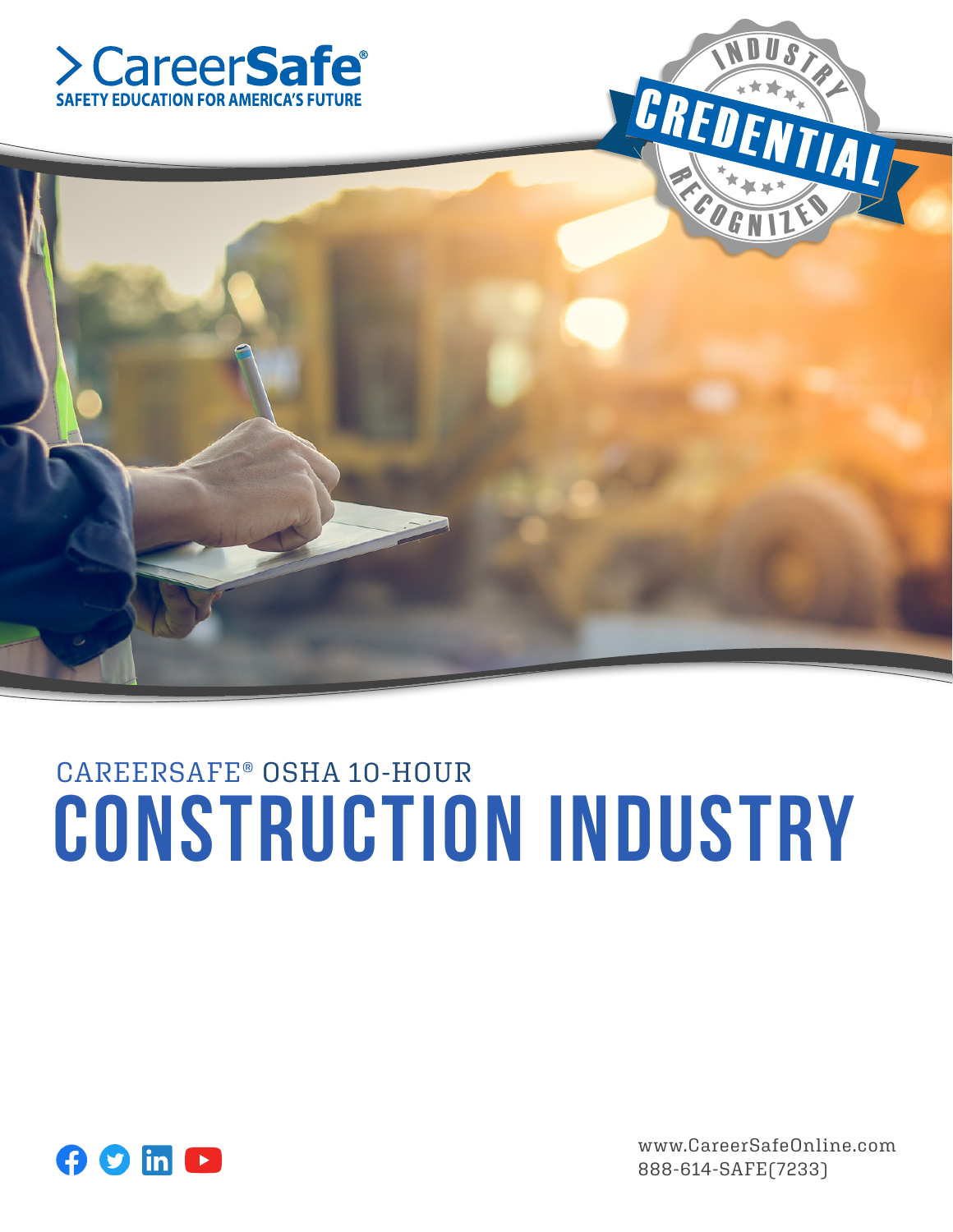





# CAREERSAFE® OSHA 10-HOUR Construction INDUSTRY



www.CareerSafeOnline.com 888-614-SAFE(7233)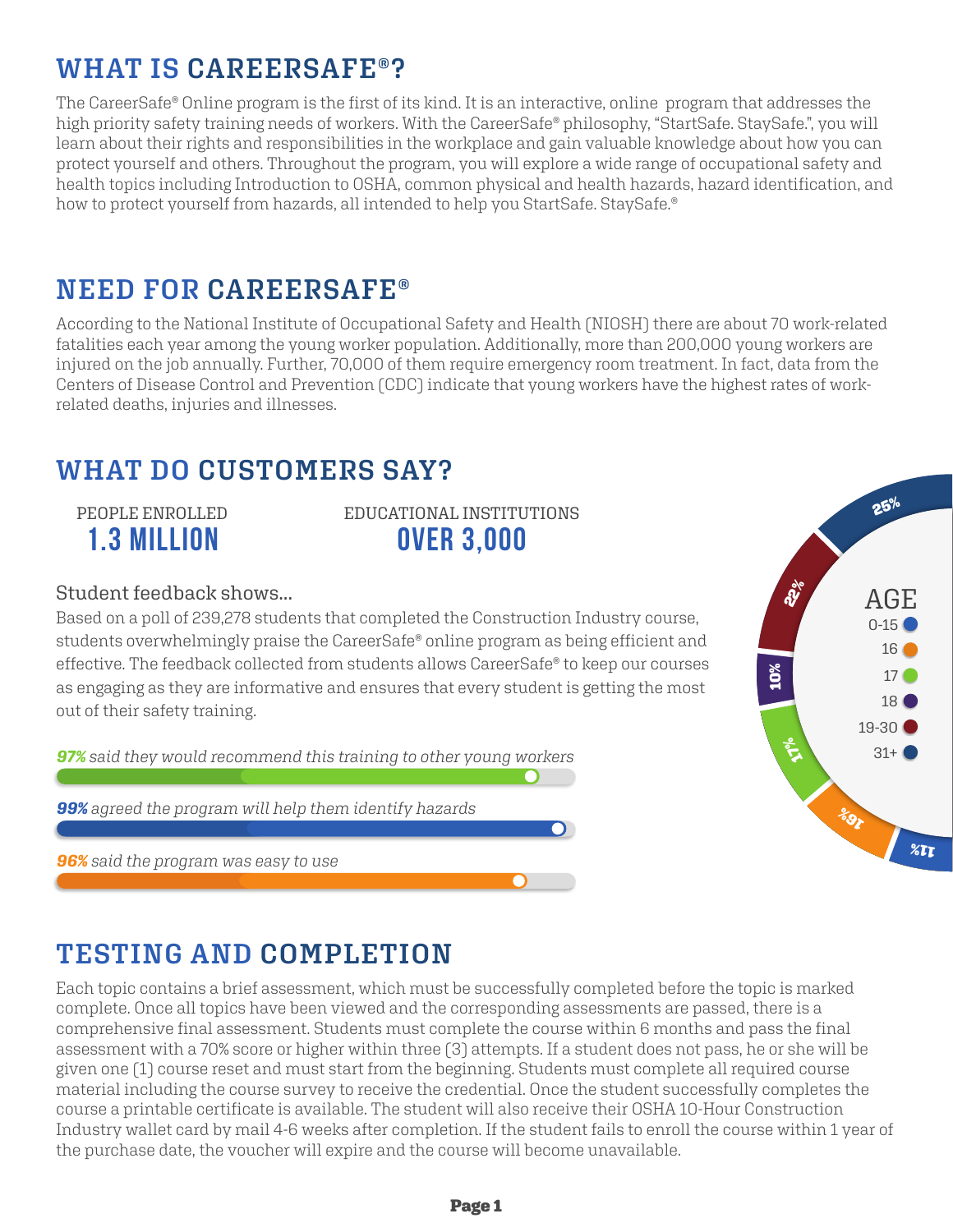# **WHAT IS CAREERSAFE®?**

The CareerSafe® Online program is the first of its kind. It is an interactive, online program that addresses the high priority safety training needs of workers. With the CareerSafe® philosophy, "StartSafe. StaySafe.", you will learn about their rights and responsibilities in the workplace and gain valuable knowledge about how you can protect yourself and others. Throughout the program, you will explore a wide range of occupational safety and health topics including Introduction to OSHA, common physical and health hazards, hazard identification, and how to protect yourself from hazards, all intended to help you StartSafe. StaySafe.<sup>®</sup>

# **NEED FOR CAREERSAFE®**

According to the National Institute of Occupational Safety and Health (NIOSH) there are about 70 work-related fatalities each year among the young worker population. Additionally, more than 200,000 young workers are injured on the job annually. Further, 70,000 of them require emergency room treatment. In fact, data from the Centers of Disease Control and Prevention (CDC) indicate that young workers have the highest rates of workrelated deaths, injuries and illnesses.

# **WHAT DO CUSTOMERS SAY?**

# PEOPLE ENROLLED 1.3 million

EDUCATIONAL INSTITUTIONS over 3,000

### Student feedback shows...

Based on a poll of 239,278 students that completed the Construction Industry course, students overwhelmingly praise the CareerSafe® online program as being efficient and effective. The feedback collected from students allows CareerSafe® to keep our courses as engaging as they are informative and ensures that every student is getting the most out of their safety training.

*97% said they would recommend this training to other young workers*

*99% agreed the program will help them identify hazards*

*96% said the program was easy to use*



# **TESTING AND COMPLETION**

Each topic contains a brief assessment, which must be successfully completed before the topic is marked complete. Once all topics have been viewed and the corresponding assessments are passed, there is a comprehensive final assessment. Students must complete the course within 6 months and pass the final assessment with a 70% score or higher within three (3) attempts. If a student does not pass, he or she will be given one (1) course reset and must start from the beginning. Students must complete all required course material including the course survey to receive the credential. Once the student successfully completes the course a printable certificate is available. The student will also receive their OSHA 10-Hour Construction Industry wallet card by mail 4-6 weeks after completion. If the student fails to enroll the course within 1 year of the purchase date, the voucher will expire and the course will become unavailable.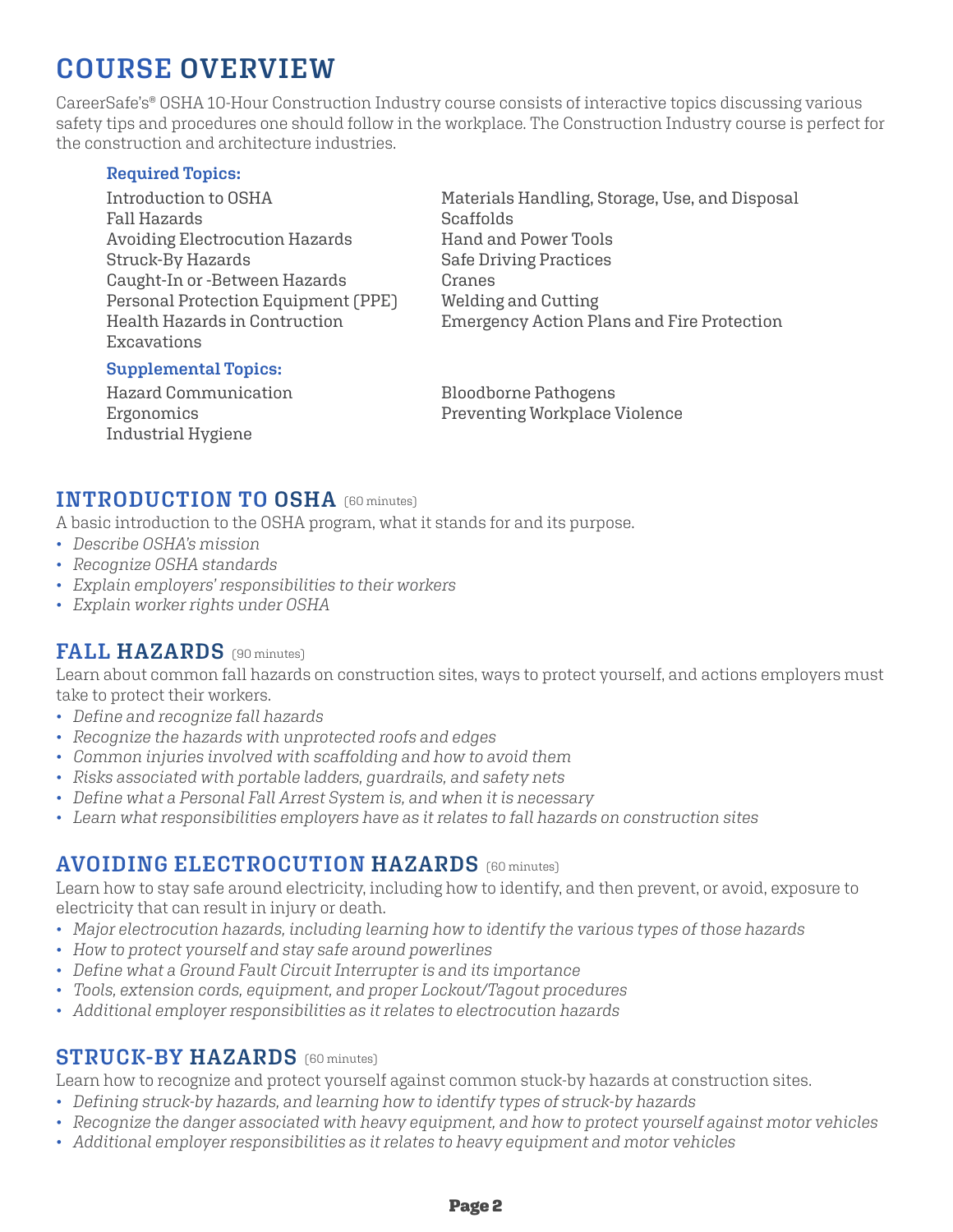# **COURSE OVERVIEW**

CareerSafe's® OSHA 10-Hour Construction Industry course consists of interactive topics discussing various safety tips and procedures one should follow in the workplace. The Construction Industry course is perfect for the construction and architecture industries.

#### **Required Topics:**

Introduction to OSHA Fall Hazards Avoiding Electrocution Hazards Struck-By Hazards Caught-In or -Between Hazards Personal Protection Equipment (PPE) Health Hazards in Contruction Excavations

Scaffolds Hand and Power Tools Safe Driving Practices Cranes Welding and Cutting Emergency Action Plans and Fire Protection

Materials Handling, Storage, Use, and Disposal

#### **Supplemental Topics:**

Hazard Communication Ergonomics Industrial Hygiene

Bloodborne Pathogens Preventing Workplace Violence

### **INTRODUCTION TO OSHA** (60 minutes)

A basic introduction to the OSHA program, what it stands for and its purpose.

- *Describe OSHA's mission*
- *Recognize OSHA standards*
- *Explain employers' responsibilities to their workers*
- *Explain worker rights under OSHA*

## **FALL HAZARDS** (90 minutes)

Learn about common fall hazards on construction sites, ways to protect yourself, and actions employers must take to protect their workers.

- *Define and recognize fall hazards*
- *Recognize the hazards with unprotected roofs and edges*
- *Common injuries involved with scaffolding and how to avoid them*
- *Risks associated with portable ladders, guardrails, and safety nets*
- *Define what a Personal Fall Arrest System is, and when it is necessary*
- *Learn what responsibilities employers have as it relates to fall hazards on construction sites*

## **AVOIDING ELECTROCUTION HAZARDS** (60 minutes)

Learn how to stay safe around electricity, including how to identify, and then prevent, or avoid, exposure to electricity that can result in injury or death.

- *Major electrocution hazards, including learning how to identify the various types of those hazards*
- *How to protect yourself and stay safe around powerlines*
- *Define what a Ground Fault Circuit Interrupter is and its importance*
- *Tools, extension cords, equipment, and proper Lockout/Tagout procedures*
- *Additional employer responsibilities as it relates to electrocution hazards*

### **STRUCK-BY HAZARDS** (60 minutes)

Learn how to recognize and protect yourself against common stuck-by hazards at construction sites.

- *Defining struck-by hazards, and learning how to identify types of struck-by hazards*
- *Recognize the danger associated with heavy equipment, and how to protect yourself against motor vehicles*
- *Additional employer responsibilities as it relates to heavy equipment and motor vehicles*

#### Page 2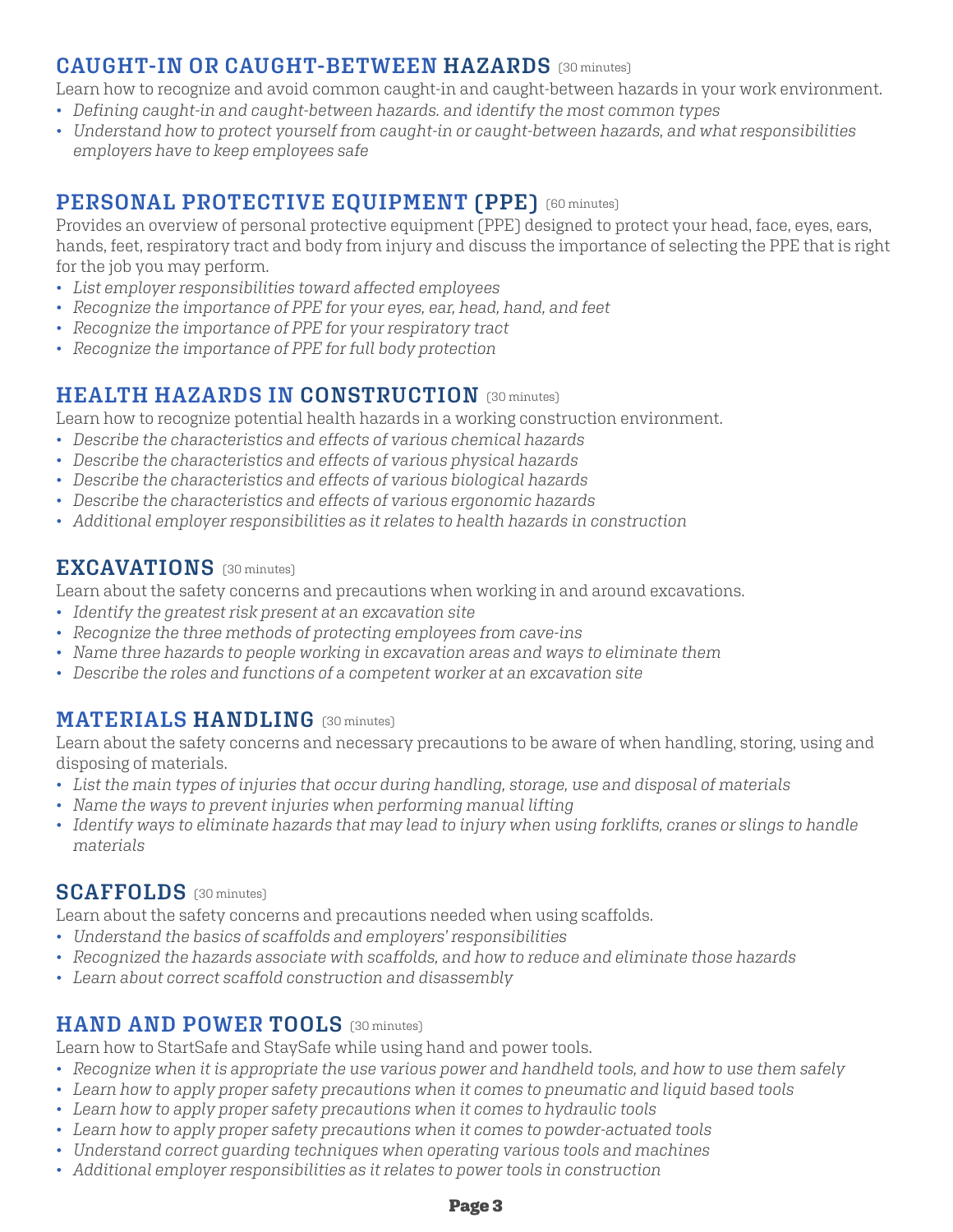# **CAUGHT-IN OR CAUGHT-BETWEEN HAZARDS** (30 minutes)

Learn how to recognize and avoid common caught-in and caught-between hazards in your work environment.

- *Defining caught-in and caught-between hazards. and identify the most common types*
- *Understand how to protect yourself from caught-in or caught-between hazards, and what responsibilities employers have to keep employees safe*

# (60 minutes) **PERSONAL PROTECTIVE EQUIPMENT (PPE)**

Provides an overview of personal protective equipment (PPE) designed to protect your head, face, eyes, ears, hands, feet, respiratory tract and body from injury and discuss the importance of selecting the PPE that is right for the job you may perform.

- *List employer responsibilities toward affected employees*
- *Recognize the importance of PPE for your eyes, ear, head, hand, and feet*
- *Recognize the importance of PPE for your respiratory tract*
- *Recognize the importance of PPE for full body protection*

# **HEALTH HAZARDS IN CONSTRUCTION** [30 minutes]

Learn how to recognize potential health hazards in a working construction environment.

- *Describe the characteristics and effects of various chemical hazards*
- *Describe the characteristics and effects of various physical hazards*
- *Describe the characteristics and effects of various biological hazards*
- *Describe the characteristics and effects of various ergonomic hazards*
- *Additional employer responsibilities as it relates to health hazards in construction*

# (30 minutes) **EXCAVATIONS**

Learn about the safety concerns and precautions when working in and around excavations.

- *Identify the greatest risk present at an excavation site*
- *Recognize the three methods of protecting employees from cave-ins*
- *Name three hazards to people working in excavation areas and ways to eliminate them*
- *Describe the roles and functions of a competent worker at an excavation site*

# $\textbf{MATERIALS}$   $\textbf{HANDLING}$  (30 minutes)

Learn about the safety concerns and necessary precautions to be aware of when handling, storing, using and disposing of materials.

- *List the main types of injuries that occur during handling, storage, use and disposal of materials*
- *Name the ways to prevent injuries when performing manual lifting*
- *Identify ways to eliminate hazards that may lead to injury when using forklifts, cranes or slings to handle materials*

# (30 minutes) **SCAFFOLDS**

Learn about the safety concerns and precautions needed when using scaffolds.

- *Understand the basics of scaffolds and employers' responsibilities*
- *Recognized the hazards associate with scaffolds, and how to reduce and eliminate those hazards*
- *Learn about correct scaffold construction and disassembly*

# **HAND AND POWER TOOLS** (30 minutes)

Learn how to StartSafe and StaySafe while using hand and power tools.

- *Recognize when it is appropriate the use various power and handheld tools, and how to use them safely*
- *Learn how to apply proper safety precautions when it comes to pneumatic and liquid based tools*
- *Learn how to apply proper safety precautions when it comes to hydraulic tools*
- *Learn how to apply proper safety precautions when it comes to powder-actuated tools*
- *Understand correct guarding techniques when operating various tools and machines*
- *Additional employer responsibilities as it relates to power tools in construction*

#### Page 3